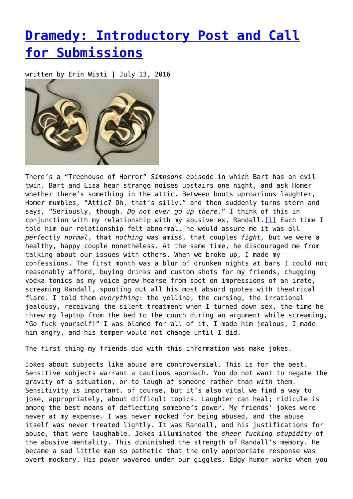## **[Dramedy: Introductory Post and Call](https://entropymag.org/dramedy-introductory-post-and-call-for-submissions/) [for Submissions](https://entropymag.org/dramedy-introductory-post-and-call-for-submissions/)**

written by Erin Wisti | July 13, 2016



<span id="page-0-0"></span>There's a "Treehouse of Horror" *Simpsons* episode in which Bart has an evil twin. Bart and Lisa hear strange noises upstairs one night, and ask Homer whether there's something in the attic. Between bouts uproarious laughter, Homer mumbles, "Attic? Oh, that's silly," and then suddenly turns stern and says, "Seriously, though. *Do not ever go up there.*" I think of this in conjunction with my relationship with my abusive ex, Randall.<sup>[1]</sup> Each time I told him our relationship felt abnormal, he would assure me it was all *perfectly normal*, that *nothing* was amiss, that couples *fight,* but we were a healthy, happy couple nonetheless. At the same time, he discouraged me from talking about our issues with others. When we broke up, I made my confessions. The first month was a blur of drunken nights at bars I could not reasonably afford, buying drinks and custom shots for my friends, chugging vodka tonics as my voice grew hoarse from spot on impressions of an irate, screaming Randall, spouting out all his most absurd quotes with theatrical flare. I told them *everything*: the yelling, the cursing, the irrational jealousy, receiving the silent treatment when I turned down sex, the time he threw my laptop from the bed to the couch during an argument while screaming, "Go fuck yourself!" I was blamed for all of it. I made him jealous, I made him angry, and his temper would not change until I did.

The first thing my friends did with this information was make jokes.

Jokes about subjects like abuse are controversial. This is for the best. Sensitive subjects warrant a cautious approach. You do not want to negate the gravity of a situation, or to laugh *at* someone rather than *with* them. Sensitivity is important, of course, but it's also vital we find a way to joke, appropriately, about difficult topics. Laughter can heal; ridicule is among the best means of deflecting someone's power. My friends' jokes were never at my expense. I was never mocked for being abused, and the abuse itself was never treated lightly. It was Randall, and his justifications for abuse, that were laughable. Jokes illuminated the *sheer fucking stupidity* of the abusive mentality. This diminished the strength of Randall's memory. He became a sad little man so pathetic that the only appropriate response was overt mockery. His power wavered under our giggles. Edgy humor works when you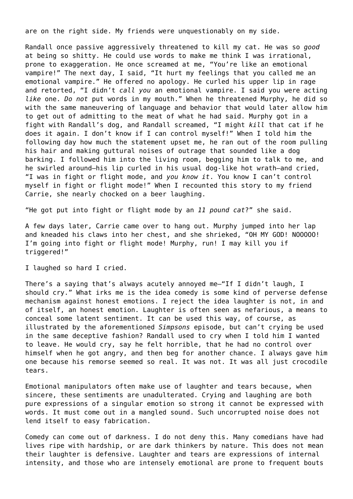are on the right side. My friends were unquestionably on my side.

Randall once passive aggressively threatened to kill my cat. He was so *good* at being so shitty. He could use words to make me think I was irrational, prone to exaggeration. He once screamed at me, "You're like an emotional vampire!" The next day, I said, "It hurt my feelings that you called me an emotional vampire." He offered no apology. He curled his upper lip in rage and retorted, "I didn't *call you* an emotional vampire. I said you were acting *like* one. *Do not* put words in my mouth." When he threatened Murphy, he did so with the same maneuvering of language and behavior that would later allow him to get out of admitting to the meat of what he had said. Murphy got in a fight with Randall's dog, and Randall screamed, "I might *kill* that cat if he does it again. I don't know if I can control myself!" When I told him the following day how much the statement upset me, he ran out of the room pulling his hair and making guttural noises of outrage that sounded like a dog barking. I followed him into the living room, begging him to talk to me, and he swirled around—his lip curled in his usual dog-like hot wrath—and cried, "I was in fight or flight mode, and *you know it*. You know I can't control myself in fight or flight mode!" When I recounted this story to my friend Carrie, she nearly chocked on a beer laughing.

"He got put into fight or flight mode by an *11 pound cat*?" she said.

A few days later, Carrie came over to hang out. Murphy jumped into her lap and kneaded his claws into her chest, and she shrieked, "OH MY GOD! NOOOOO! I'm going into fight or flight mode! Murphy, run! I may kill you if triggered!"

I laughed so hard I cried.

There's a saying that's always acutely annoyed me—"If I didn't laugh, I should cry." What irks me is the idea comedy is some kind of perverse defense mechanism against honest emotions. I reject the idea laughter is not, in and of itself, an honest emotion. Laughter is often seen as nefarious, a means to conceal some latent sentiment. It can be used this way, of course, as illustrated by the aforementioned *Simpsons* episode, but can't crying be used in the same deceptive fashion? Randall used to cry when I told him I wanted to leave. He would cry, say he felt horrible, that he had no control over himself when he got angry, and then beg for another chance. I always gave him one because his remorse seemed so real. It was not. It was all just crocodile tears.

Emotional manipulators often make use of laughter and tears because, when sincere, these sentiments are unadulterated. Crying and laughing are both pure expressions of a singular emotion so strong it cannot be expressed with words. It must come out in a mangled sound. Such uncorrupted noise does not lend itself to easy fabrication.

Comedy can come out of darkness. I do not deny this. Many comedians have had lives ripe with hardship, or are dark thinkers by nature. This does not mean their laughter is defensive. Laughter and tears are expressions of internal intensity, and those who are intensely emotional are prone to frequent bouts